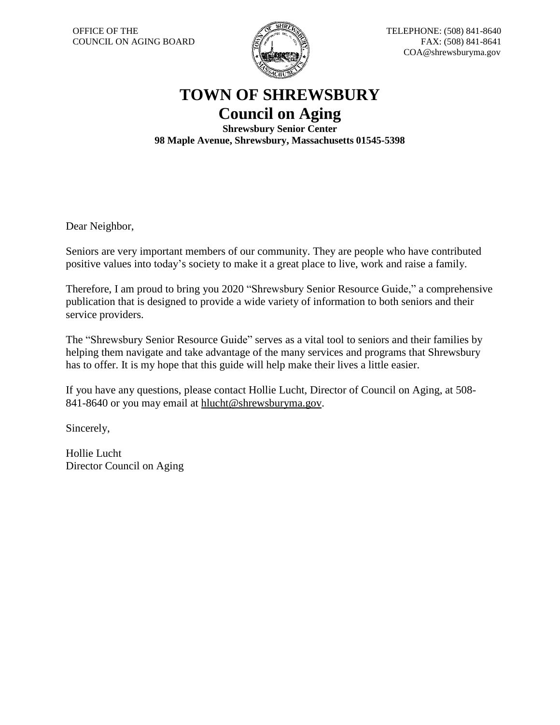

COA@shrewsburyma.gov

## **TOWN OF SHREWSBURY Council on Aging**

**Shrewsbury Senior Center 98 Maple Avenue, Shrewsbury, Massachusetts 01545-5398**

Dear Neighbor,

Seniors are very important members of our community. They are people who have contributed positive values into today's society to make it a great place to live, work and raise a family.

Therefore, I am proud to bring you 2020 "Shrewsbury Senior Resource Guide," a comprehensive publication that is designed to provide a wide variety of information to both seniors and their service providers.

The "Shrewsbury Senior Resource Guide" serves as a vital tool to seniors and their families by helping them navigate and take advantage of the many services and programs that Shrewsbury has to offer. It is my hope that this guide will help make their lives a little easier.

If you have any questions, please contact Hollie Lucht, Director of Council on Aging, at 508 841-8640 or you may email at [hlucht@shrewsburyma.gov.](mailto:hlucht@shrewsburyma.gov)

Sincerely,

Hollie Lucht Director Council on Aging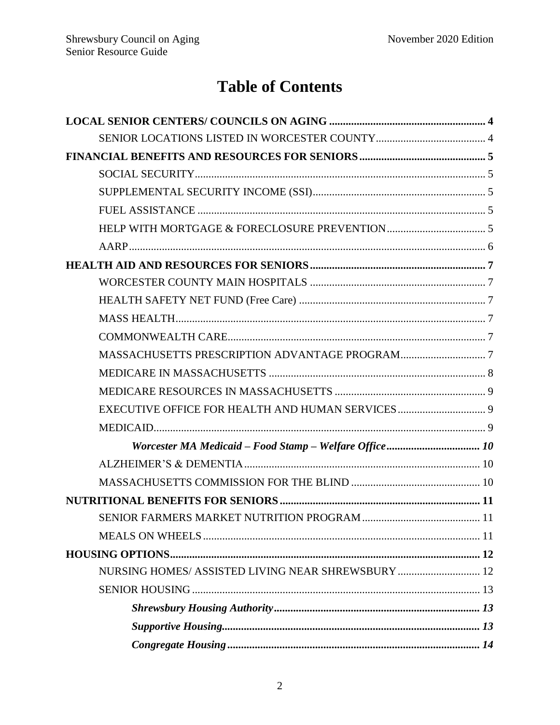# **Table of Contents**

| NURSING HOMES/ ASSISTED LIVING NEAR SHREWSBURY  12 |  |
|----------------------------------------------------|--|
|                                                    |  |
|                                                    |  |
|                                                    |  |
|                                                    |  |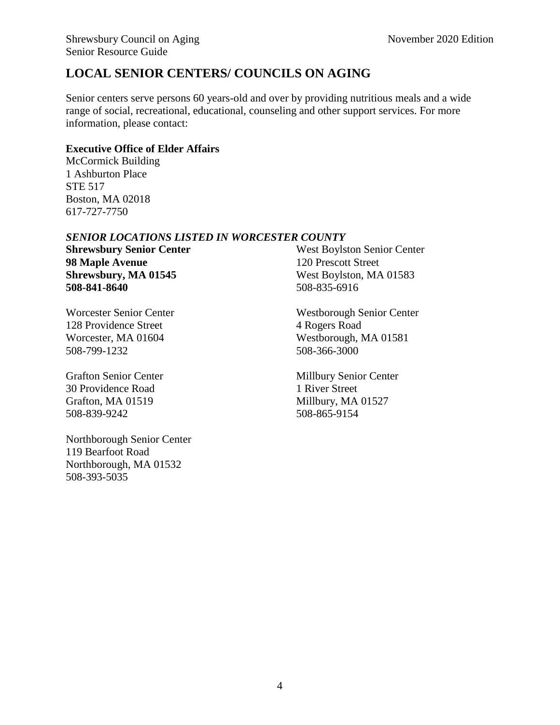## <span id="page-3-0"></span>**LOCAL SENIOR CENTERS/ COUNCILS ON AGING**

Senior centers serve persons 60 years-old and over by providing nutritious meals and a wide range of social, recreational, educational, counseling and other support services. For more information, please contact:

#### **Executive Office of Elder Affairs**

McCormick Building 1 Ashburton Place STE 517 Boston, MA 02018 617-727-7750

#### <span id="page-3-1"></span>*SENIOR LOCATIONS LISTED IN WORCESTER COUNTY*

**98 Maple Avenue** 120 Prescott Street **508-841-8640** 508-835-6916

128 Providence Street 4 Rogers Road 508-799-1232 508-366-3000

30 Providence Road 1 River Street Grafton, MA 01519 Millbury, MA 01527 508-839-9242 508-865-9154

Northborough Senior Center 119 Bearfoot Road Northborough, MA 01532 508-393-5035

**Shrewsbury Senior Center** West Boylston Senior Center **Shrewsbury, MA 01545** West Boylston, MA 01583

Worcester Senior Center Westborough Senior Center Worcester, MA 01604 Westborough, MA 01581

Grafton Senior Center Millbury Senior Center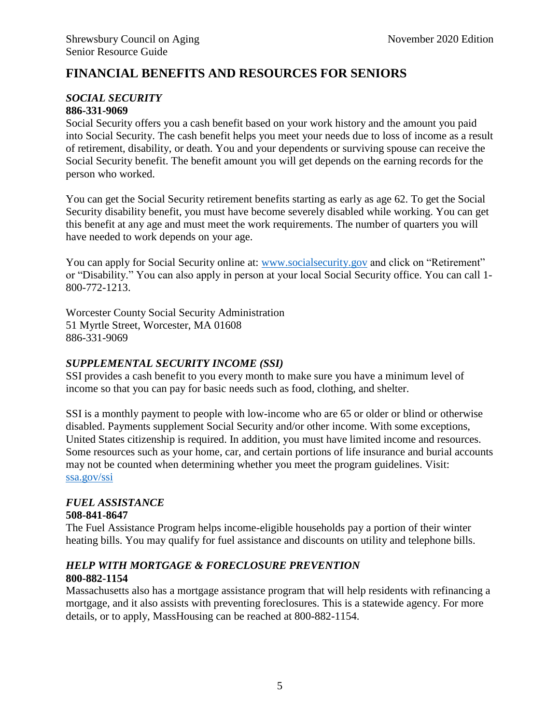## <span id="page-4-0"></span>**FINANCIAL BENEFITS AND RESOURCES FOR SENIORS**

#### <span id="page-4-1"></span>*SOCIAL SECURITY* **886-331-9069**

Social Security offers you a cash benefit based on your work history and the amount you paid into Social Security. The cash benefit helps you meet your needs due to loss of income as a result of retirement, disability, or death. You and your dependents or surviving spouse can receive the Social Security benefit. The benefit amount you will get depends on the earning records for the person who worked.

You can get the Social Security retirement benefits starting as early as age 62. To get the Social Security disability benefit, you must have become severely disabled while working. You can get this benefit at any age and must meet the work requirements. The number of quarters you will have needed to work depends on your age.

You can apply for Social Security online at: [www.socialsecurity.gov](http://www.socialsecurity.gov/) and click on "Retirement" or "Disability." You can also apply in person at your local Social Security office. You can call 1- 800-772-1213.

Worcester County Social Security Administration 51 Myrtle Street, Worcester, MA 01608 886-331-9069

#### <span id="page-4-2"></span>*SUPPLEMENTAL SECURITY INCOME (SSI)*

SSI provides a cash benefit to you every month to make sure you have a minimum level of income so that you can pay for basic needs such as food, clothing, and shelter.

SSI is a monthly payment to people with low-income who are 65 or older or blind or otherwise disabled. Payments supplement Social Security and/or other income. With some exceptions, United States citizenship is required. In addition, you must have limited income and resources. Some resources such as your home, car, and certain portions of life insurance and burial accounts may not be counted when determining whether you meet the program guidelines. Visit: [ssa.gov/ssi](file:///C:/Users/cmoriarty/Desktop/September%20Agenda/ssa.gov/ssi)

#### <span id="page-4-3"></span>*FUEL ASSISTANCE*

#### **508-841-8647**

The Fuel Assistance Program helps income-eligible households pay a portion of their winter heating bills. You may qualify for fuel assistance and discounts on utility and telephone bills.

#### <span id="page-4-4"></span>*HELP WITH MORTGAGE & FORECLOSURE PREVENTION* **800-882-1154**

Massachusetts also has a mortgage assistance program that will help residents with refinancing a mortgage, and it also assists with preventing foreclosures. This is a statewide agency. For more details, or to apply, MassHousing can be reached at 800-882-1154.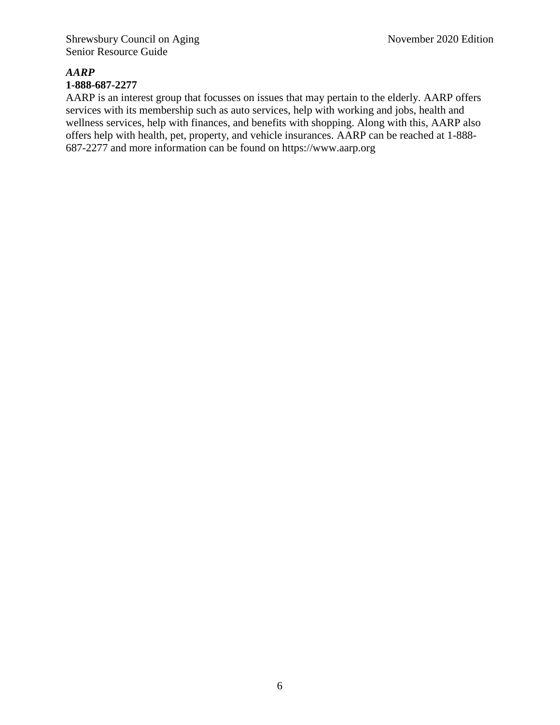#### <span id="page-5-0"></span>*AARP* **1-888-687-2277**

AARP is an interest group that focusses on issues that may pertain to the elderly. AARP offers services with its membership such as auto services, help with working and jobs, health and wellness services, help with finances, and benefits with shopping. Along with this, AARP also offers help with health, pet, property, and vehicle insurances. AARP can be reached at 1-888- 687-2277 and more information can be found on https://www.aarp.org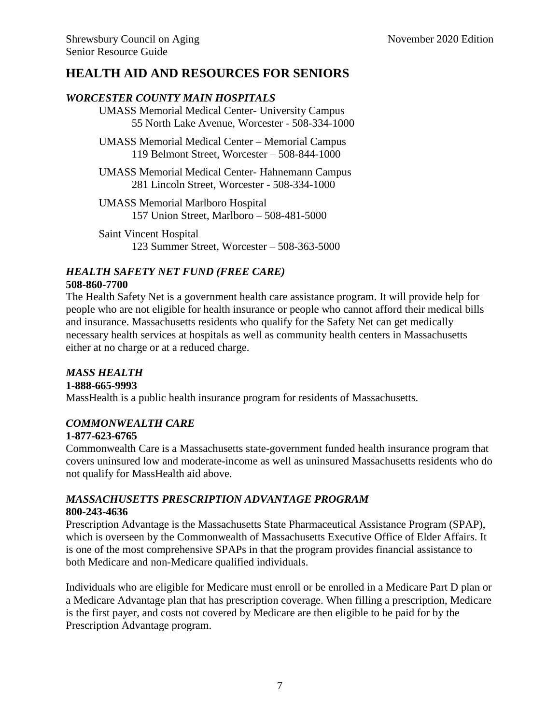### <span id="page-6-0"></span>**HEALTH AID AND RESOURCES FOR SENIORS**

#### <span id="page-6-1"></span>*WORCESTER COUNTY MAIN HOSPITALS*

UMASS Memorial Medical Center- University Campus 55 North Lake Avenue, Worcester - 508-334-1000

UMASS Memorial Medical Center – Memorial Campus 119 Belmont Street, Worcester – 508-844-1000

UMASS Memorial Medical Center- Hahnemann Campus 281 Lincoln Street, Worcester - 508-334-1000

UMASS Memorial Marlboro Hospital 157 Union Street, Marlboro – 508-481-5000

Saint Vincent Hospital 123 Summer Street, Worcester – 508-363-5000

#### <span id="page-6-2"></span>*HEALTH SAFETY NET FUND (FREE CARE)* **508-860-7700**

The Health Safety Net is a government health care assistance program. It will provide help for people who are not eligible for health insurance or people who cannot afford their medical bills and insurance. Massachusetts residents who qualify for the Safety Net can get medically necessary health services at hospitals as well as community health centers in Massachusetts either at no charge or at a reduced charge.

#### <span id="page-6-3"></span>*MASS HEALTH*

#### **1-888-665-9993**

MassHealth is a public health insurance program for residents of Massachusetts.

#### <span id="page-6-4"></span>*COMMONWEALTH CARE*

#### **1-877-623-6765**

Commonwealth Care is a Massachusetts state-government funded health insurance program that covers uninsured low and moderate-income as well as uninsured Massachusetts residents who do not qualify for MassHealth aid above.

#### <span id="page-6-5"></span>*MASSACHUSETTS PRESCRIPTION ADVANTAGE PROGRAM* **800-243-4636**

Prescription Advantage is the Massachusetts State Pharmaceutical Assistance Program (SPAP), which is overseen by the Commonwealth of Massachusetts Executive Office of Elder Affairs. It is one of the most comprehensive SPAPs in that the program provides financial assistance to both Medicare and non-Medicare qualified individuals.

Individuals who are eligible for Medicare must enroll or be enrolled in a Medicare Part D plan or a Medicare Advantage plan that has prescription coverage. When filling a prescription, Medicare is the first payer, and costs not covered by Medicare are then eligible to be paid for by the Prescription Advantage program.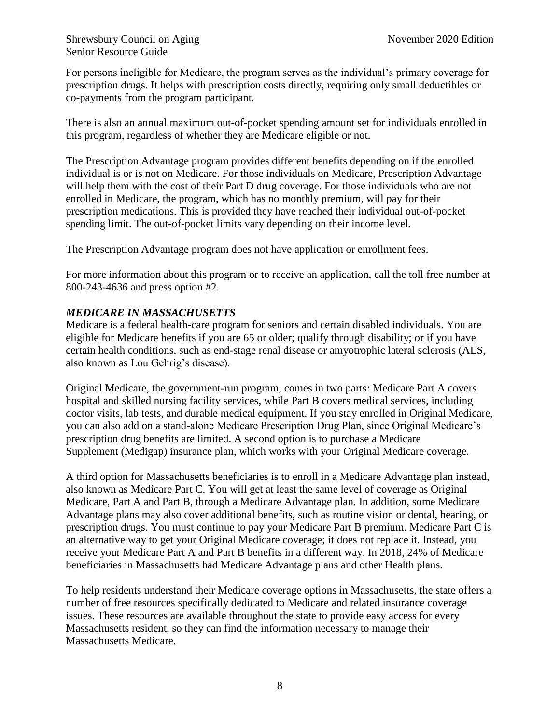For persons ineligible for Medicare, the program serves as the individual's primary coverage for prescription drugs. It helps with prescription costs directly, requiring only small deductibles or co-payments from the program participant.

There is also an annual maximum out-of-pocket spending amount set for individuals enrolled in this program, regardless of whether they are Medicare eligible or not.

The Prescription Advantage program provides different benefits depending on if the enrolled individual is or is not on Medicare. For those individuals on Medicare, Prescription Advantage will help them with the cost of their Part D drug coverage. For those individuals who are not enrolled in Medicare, the program, which has no monthly premium, will pay for their prescription medications. This is provided they have reached their individual out-of-pocket spending limit. The out-of-pocket limits vary depending on their income level.

The Prescription Advantage program does not have application or enrollment fees.

For more information about this program or to receive an application, call the toll free number at 800-243-4636 and press option #2.

#### <span id="page-7-0"></span>*MEDICARE IN MASSACHUSETTS*

Medicare is a federal health-care program for seniors and certain disabled individuals. You are eligible for Medicare benefits if you are 65 or older; qualify through disability; or if you have certain health conditions, such as end-stage renal disease or amyotrophic lateral sclerosis (ALS, also known as Lou Gehrig's disease).

Original Medicare, the government-run program, comes in two parts: Medicare Part A covers hospital and skilled nursing facility services, while Part B covers medical services, including doctor visits, lab tests, and durable medical equipment. If you stay enrolled in Original Medicare, you can also add on a stand-alone Medicare Prescription Drug Plan, since Original Medicare's prescription drug benefits are limited. A second option is to purchase a Medicare Supplement (Medigap) insurance plan, which works with your Original Medicare coverage.

A third option for Massachusetts beneficiaries is to enroll in a Medicare Advantage plan instead, also known as Medicare Part C. You will get at least the same level of coverage as Original Medicare, Part A and Part B, through a Medicare Advantage plan. In addition, some Medicare Advantage plans may also cover additional benefits, such as routine vision or dental, hearing, or prescription drugs. You must continue to pay your Medicare Part B premium. Medicare Part C is an alternative way to get your Original Medicare coverage; it does not replace it. Instead, you receive your Medicare Part A and Part B benefits in a different way. In 2018, 24% of Medicare beneficiaries in Massachusetts had Medicare Advantage plans and other Health plans.

To help residents understand their Medicare coverage options in Massachusetts, the state offers a number of free resources specifically dedicated to Medicare and related insurance coverage issues. These resources are available throughout the state to provide easy access for every Massachusetts resident, so they can find the information necessary to manage their Massachusetts Medicare.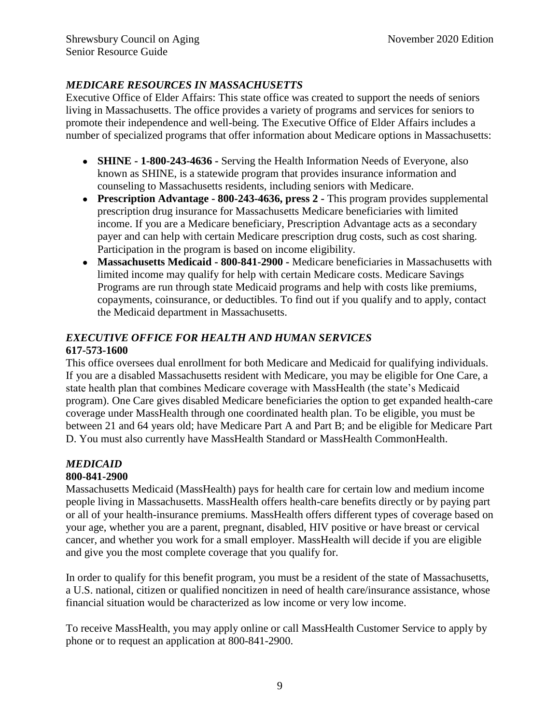#### <span id="page-8-0"></span>*MEDICARE RESOURCES IN MASSACHUSETTS*

Executive Office of Elder Affairs: This state office was created to support the needs of seniors living in Massachusetts. The office provides a variety of programs and services for seniors to promote their independence and well-being. The Executive Office of Elder Affairs includes a number of specialized programs that offer information about Medicare options in Massachusetts:

- **SHINE - 1-800-243-4636 -** Serving the Health Information Needs of Everyone, also known as SHINE, is a statewide program that provides insurance information and counseling to Massachusetts residents, including seniors with Medicare.
- **Prescription Advantage - 800-243-4636, press 2 -** This program provides supplemental prescription drug insurance for Massachusetts Medicare beneficiaries with limited income. If you are a Medicare beneficiary, Prescription Advantage acts as a secondary payer and can help with certain Medicare prescription drug costs, such as cost sharing. Participation in the program is based on income eligibility.
- **Massachusetts Medicaid - 800-841-2900 -** Medicare beneficiaries in Massachusetts with limited income may qualify for help with certain Medicare costs. Medicare Savings Programs are run through state Medicaid programs and help with costs like premiums, copayments, coinsurance, or deductibles. To find out if you qualify and to apply, contact the Medicaid department in Massachusetts.

#### <span id="page-8-1"></span>*EXECUTIVE OFFICE FOR HEALTH AND HUMAN SERVICES* **617-573-1600**

This office oversees dual enrollment for both Medicare and Medicaid for qualifying individuals. If you are a disabled Massachusetts resident with Medicare, you may be eligible for One Care, a state health plan that combines Medicare coverage with MassHealth (the state's Medicaid program). One Care gives disabled Medicare beneficiaries the option to get expanded health-care coverage under MassHealth through one coordinated health plan. To be eligible, you must be between 21 and 64 years old; have Medicare Part A and Part B; and be eligible for Medicare Part D. You must also currently have MassHealth Standard or MassHealth CommonHealth.

## <span id="page-8-2"></span>*MEDICAID*

#### **800-841-2900**

Massachusetts Medicaid (MassHealth) pays for health care for certain low and medium income people living in Massachusetts. MassHealth offers health-care benefits directly or by paying part or all of your health-insurance premiums. MassHealth offers different types of coverage based on your age, whether you are a parent, pregnant, disabled, HIV positive or have breast or cervical cancer, and whether you work for a small employer. MassHealth will decide if you are eligible and give you the most complete coverage that you qualify for.

In order to qualify for this benefit program, you must be a resident of the state of Massachusetts, a U.S. national, citizen or qualified noncitizen in need of health care/insurance assistance, whose financial situation would be characterized as low income or very low income.

To receive MassHealth, you may apply online or call MassHealth Customer Service to apply by phone or to request an application at 800-841-2900.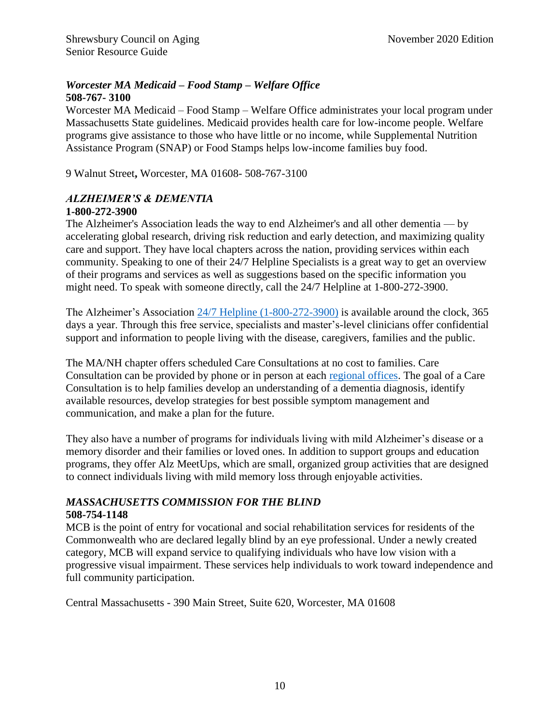#### <span id="page-9-0"></span>*Worcester MA Medicaid – Food Stamp – Welfare Office* **508-767- 3100**

Worcester MA Medicaid – Food Stamp – Welfare Office administrates your local program under Massachusetts State guidelines. Medicaid provides health care for low-income people. Welfare programs give assistance to those who have little or no income, while Supplemental Nutrition Assistance Program (SNAP) or Food Stamps helps low-income families buy food.

9 Walnut Street**,** Worcester, MA 01608- 508-767-3100

#### <span id="page-9-1"></span>*ALZHEIMER'S & DEMENTIA* **1-800-272-3900**

The Alzheimer's Association leads the way to end Alzheimer's and all other dementia — by accelerating global research, driving risk reduction and early detection, and maximizing quality care and support. They have local chapters across the nation, providing services within each community. Speaking to one of their 24/7 Helpline Specialists is a great way to get an overview of their programs and services as well as suggestions based on the specific information you might need. To speak with someone directly, call the 24/7 Helpline at 1-800-272-3900.

The Alzheimer's Association [24/7 Helpline \(1-800-272-3900\)](https://alz.org/help-support/resources/helpline) is available around the clock, 365 days a year. Through this free service, specialists and master's-level clinicians offer confidential support and information to people living with the disease, caregivers, families and the public.

The MA/NH chapter offers scheduled Care Consultations at no cost to families. Care Consultation can be provided by phone or in person at each [regional offices.](https://alz.org/manh/about_us/contact_us) The goal of a Care Consultation is to help families develop an understanding of a dementia diagnosis, identify available resources, develop strategies for best possible symptom management and communication, and make a plan for the future.

They also have a number of programs for individuals living with mild Alzheimer's disease or a memory disorder and their families or loved ones. In addition to support groups and education programs, they offer Alz MeetUps, which are small, organized group activities that are designed to connect individuals living with mild memory loss through enjoyable activities.

#### <span id="page-9-2"></span>*MASSACHUSETTS COMMISSION FOR THE BLIND* **508-754-1148**

MCB is the point of entry for vocational and social rehabilitation services for residents of the Commonwealth who are declared legally blind by an eye professional. Under a newly created category, MCB will expand service to qualifying individuals who have low vision with a progressive visual impairment. These services help individuals to work toward independence and full community participation.

Central Massachusetts - 390 Main Street, Suite 620, Worcester, MA 01608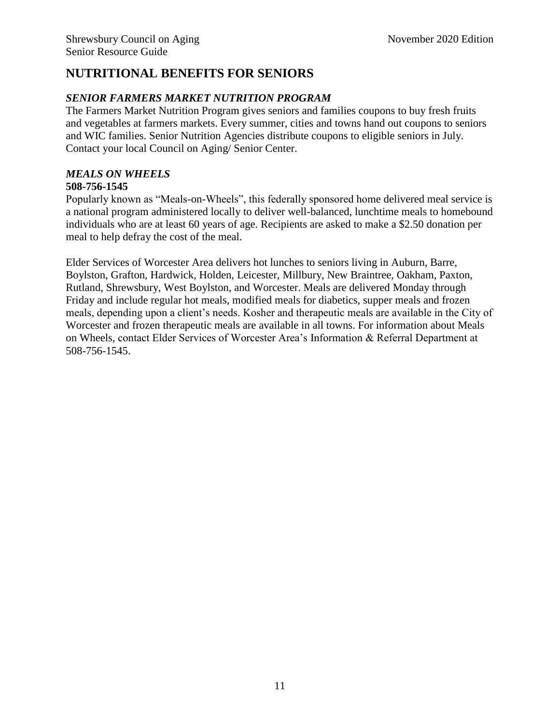## <span id="page-10-0"></span>**NUTRITIONAL BENEFITS FOR SENIORS**

#### <span id="page-10-1"></span>*SENIOR FARMERS MARKET NUTRITION PROGRAM*

The Farmers Market Nutrition Program gives seniors and families coupons to buy fresh fruits and vegetables at farmers markets. Every summer, cities and towns hand out coupons to seniors and WIC families. Senior Nutrition Agencies distribute coupons to eligible seniors in July. Contact your local Council on Aging/ Senior Center.

#### <span id="page-10-2"></span>*MEALS ON WHEELS* **508-756-1545**

Popularly known as "Meals-on-Wheels", this federally sponsored home delivered meal service is a national program administered locally to deliver well-balanced, lunchtime meals to homebound individuals who are at least 60 years of age. Recipients are asked to make a \$2.50 donation per meal to help defray the cost of the meal.

Elder Services of Worcester Area delivers hot lunches to seniors living in Auburn, Barre, Boylston, Grafton, Hardwick, Holden, Leicester, Millbury, New Braintree, Oakham, Paxton, Rutland, Shrewsbury, West Boylston, and Worcester. Meals are delivered Monday through Friday and include regular hot meals, modified meals for diabetics, supper meals and frozen meals, depending upon a client's needs. Kosher and therapeutic meals are available in the City of Worcester and frozen therapeutic meals are available in all towns. For information about Meals on Wheels, contact Elder Services of Worcester Area's Information & Referral Department at 508-756-1545.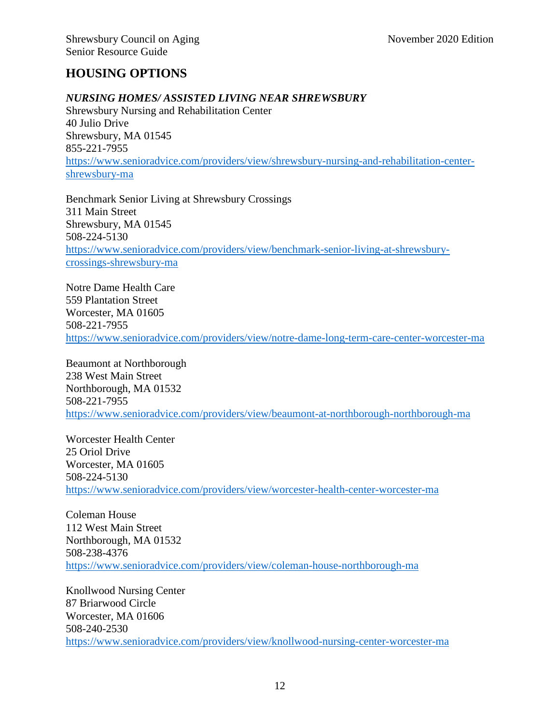## <span id="page-11-0"></span>**HOUSING OPTIONS**

#### <span id="page-11-1"></span>*NURSING HOMES/ ASSISTED LIVING NEAR SHREWSBURY*

[Shrewsbury Nursing and Rehabilitation Center](https://www.senioradvice.com/providers/view/shrewsbury-nursing-and-rehabilitation-center-shrewsbury-ma) 40 Julio Drive Shrewsbury, MA 01545 855-221-7955 [https://www.senioradvice.com/providers/view/shrewsbury-nursing-and-rehabilitation-center](https://www.senioradvice.com/providers/view/shrewsbury-nursing-and-rehabilitation-center-shrewsbury-ma)[shrewsbury-ma](https://www.senioradvice.com/providers/view/shrewsbury-nursing-and-rehabilitation-center-shrewsbury-ma)

[Benchmark Senior Living at Shrewsbury Crossings](https://www.senioradvice.com/providers/view/benchmark-senior-living-at-shrewsbury-crossings-shrewsbury-ma) 311 Main Street Shrewsbury, MA 01545 508-224-5130 [https://www.senioradvice.com/providers/view/benchmark-senior-living-at-shrewsbury](https://www.senioradvice.com/providers/view/benchmark-senior-living-at-shrewsbury-crossings-shrewsbury-ma)[crossings-shrewsbury-ma](https://www.senioradvice.com/providers/view/benchmark-senior-living-at-shrewsbury-crossings-shrewsbury-ma)

[Notre Dame Health Care](https://www.senioradvice.com/providers/view/notre-dame-long-term-care-center-worcester-ma) 559 Plantation Street Worcester, MA 01605 508-221-7955 <https://www.senioradvice.com/providers/view/notre-dame-long-term-care-center-worcester-ma>

[Beaumont at Northborough](https://www.senioradvice.com/providers/view/beaumont-at-northborough-northborough-ma) 238 West Main Street Northborough, MA 01532 508-221-7955 <https://www.senioradvice.com/providers/view/beaumont-at-northborough-northborough-ma>

[Worcester Health Center](https://www.senioradvice.com/providers/view/worcester-health-center-worcester-ma) 25 Oriol Drive Worcester, MA 01605 508-224-5130 <https://www.senioradvice.com/providers/view/worcester-health-center-worcester-ma>

[Coleman House](https://www.senioradvice.com/providers/view/coleman-house-northborough-ma) 112 West Main Street Northborough, MA 01532 508-238-4376 <https://www.senioradvice.com/providers/view/coleman-house-northborough-ma>

[Knollwood Nursing Center](https://www.senioradvice.com/providers/view/knollwood-nursing-center-worcester-ma) 87 Briarwood Circle Worcester, MA 01606 508-240-2530 <https://www.senioradvice.com/providers/view/knollwood-nursing-center-worcester-ma>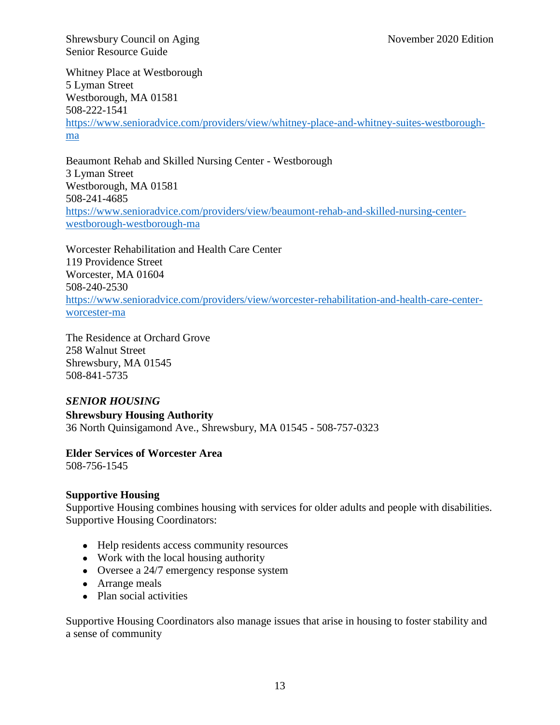[Whitney Place at Westborough](https://www.senioradvice.com/providers/view/whitney-place-and-whitney-suites-westborough-ma) 5 Lyman Street Westborough, MA 01581 508-222-1541 [https://www.senioradvice.com/providers/view/whitney-place-and-whitney-suites-westborough](https://www.senioradvice.com/providers/view/whitney-place-and-whitney-suites-westborough-ma)[ma](https://www.senioradvice.com/providers/view/whitney-place-and-whitney-suites-westborough-ma)

[Beaumont Rehab and Skilled Nursing Center -](https://www.senioradvice.com/providers/view/beaumont-rehab-and-skilled-nursing-center-westborough-westborough-ma) Westborough 3 Lyman Street Westborough, MA 01581 508-241-4685 [https://www.senioradvice.com/providers/view/beaumont-rehab-and-skilled-nursing-center](https://www.senioradvice.com/providers/view/beaumont-rehab-and-skilled-nursing-center-westborough-westborough-ma)[westborough-westborough-ma](https://www.senioradvice.com/providers/view/beaumont-rehab-and-skilled-nursing-center-westborough-westborough-ma)

[Worcester Rehabilitation and Health Care Center](https://www.senioradvice.com/providers/view/worcester-rehabilitation-and-health-care-center-worcester-ma) 119 Providence Street Worcester, MA 01604 508-240-2530 [https://www.senioradvice.com/providers/view/worcester-rehabilitation-and-health-care-center](https://www.senioradvice.com/providers/view/worcester-rehabilitation-and-health-care-center-worcester-ma)[worcester-ma](https://www.senioradvice.com/providers/view/worcester-rehabilitation-and-health-care-center-worcester-ma)

The Residence at Orchard Grove 258 Walnut Street Shrewsbury, MA 01545 508-841-5735

#### <span id="page-12-0"></span>*SENIOR HOUSING*

<span id="page-12-1"></span>**Shrewsbury Housing Authority** 36 North Quinsigamond Ave., Shrewsbury, MA 01545 - 508-757-0323

#### **Elder Services of Worcester Area**

508-756-1545

#### <span id="page-12-2"></span>**Supportive Housing**

Supportive Housing combines housing with services for older adults and people with disabilities. Supportive Housing Coordinators:

- Help residents access community resources
- Work with the local housing authority
- Oversee a 24/7 emergency response system
- Arrange meals
- Plan social activities

Supportive Housing Coordinators also manage issues that arise in housing to foster stability and a sense of community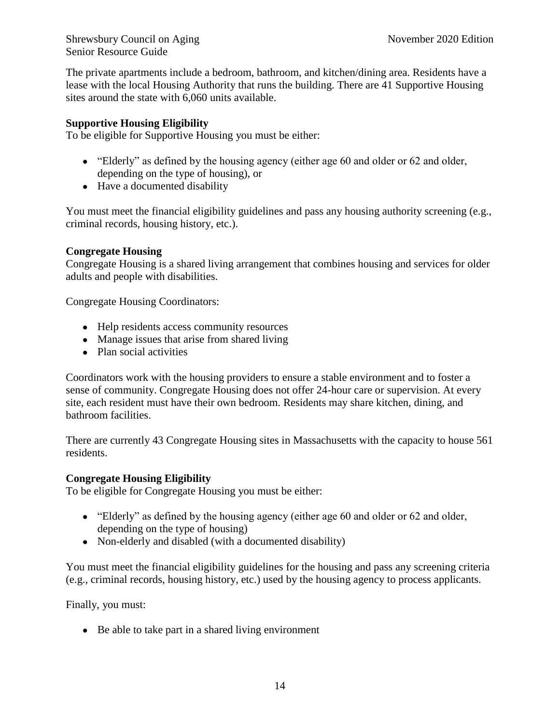The private apartments include a bedroom, bathroom, and kitchen/dining area. Residents have a lease with the local Housing Authority that runs the building. There are 41 Supportive Housing sites around the state with 6,060 units available.

#### **Supportive Housing Eligibility**

To be eligible for Supportive Housing you must be either:

- "Elderly" as defined by the housing agency (either age 60 and older or 62 and older, depending on the type of housing), or
- Have a documented disability

You must meet the financial eligibility guidelines and pass any housing authority screening (e.g., criminal records, housing history, etc.).

#### <span id="page-13-0"></span>**Congregate Housing**

Congregate Housing is a shared living arrangement that combines housing and services for older adults and people with disabilities.

Congregate Housing Coordinators:

- Help residents access community resources
- Manage issues that arise from shared living
- Plan social activities

Coordinators work with the housing providers to ensure a stable environment and to foster a sense of community. Congregate Housing does not offer 24-hour care or supervision. At every site, each resident must have their own bedroom. Residents may share kitchen, dining, and bathroom facilities.

There are currently 43 Congregate Housing sites in Massachusetts with the capacity to house 561 residents.

#### **Congregate Housing Eligibility**

To be eligible for Congregate Housing you must be either:

- "Elderly" as defined by the housing agency (either age 60 and older or 62 and older, depending on the type of housing)
- Non-elderly and disabled (with a documented disability)

You must meet the financial eligibility guidelines for the housing and pass any screening criteria (e.g., criminal records, housing history, etc.) used by the housing agency to process applicants.

Finally, you must:

• Be able to take part in a shared living environment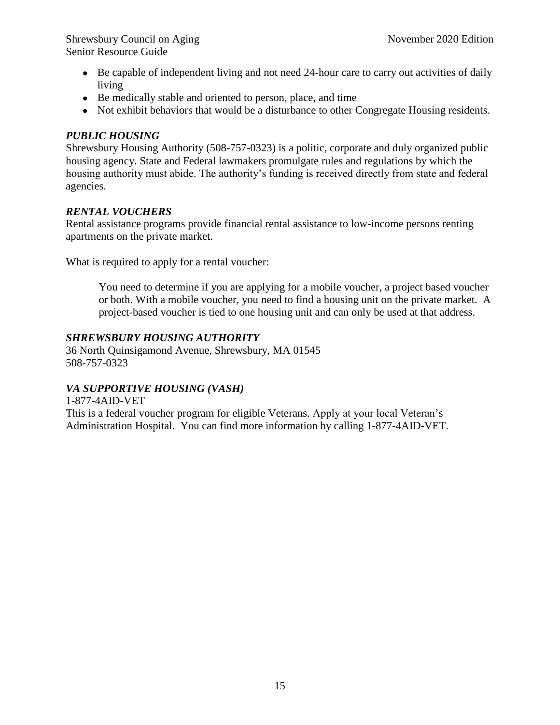- Be capable of independent living and not need 24-hour care to carry out activities of daily living
- Be medically stable and oriented to person, place, and time
- Not exhibit behaviors that would be a disturbance to other Congregate Housing residents.

#### <span id="page-14-0"></span>*PUBLIC HOUSING*

Shrewsbury Housing Authority (508-757-0323) is a politic, corporate and duly organized public housing agency. State and Federal lawmakers promulgate rules and regulations by which the housing authority must abide. The authority's funding is received directly from state and federal agencies.

#### <span id="page-14-1"></span>*RENTAL VOUCHERS*

Rental assistance programs provide financial rental assistance to low-income persons renting apartments on the private market.

What is required to apply for a rental voucher:

You need to determine if you are applying for a mobile voucher, a project based voucher or both. With a mobile voucher, you need to find a housing unit on the private market. A project-based voucher is tied to one housing unit and can only be used at that address.

#### <span id="page-14-2"></span>*SHREWSBURY HOUSING AUTHORITY*

36 North Quinsigamond Avenue, Shrewsbury, MA 01545 508-757-0323

#### <span id="page-14-3"></span>*VA SUPPORTIVE HOUSING (VASH)*

1-877-4AID-VET This is a federal voucher program for eligible Veterans. Apply at your local Veteran's Administration Hospital. You can find more information by calling 1-877-4AID-VET.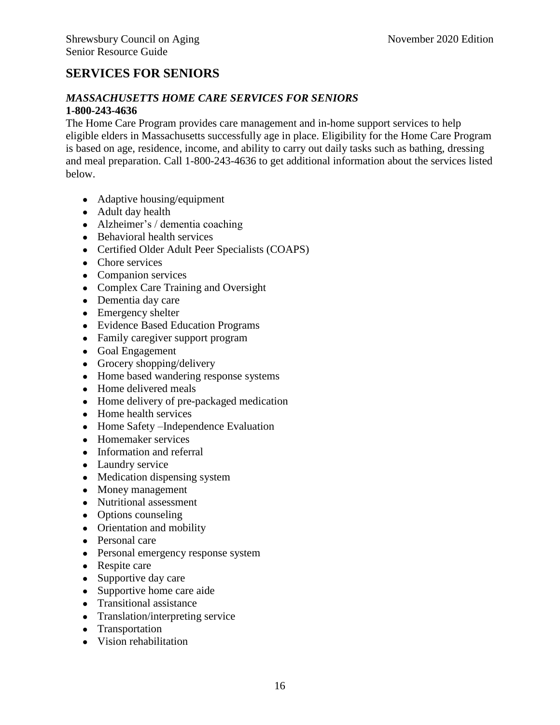## <span id="page-15-0"></span>**SERVICES FOR SENIORS**

#### <span id="page-15-1"></span>*MASSACHUSETTS HOME CARE SERVICES FOR SENIORS* **1-800-243-4636**

The Home Care Program provides care management and in-home support services to help eligible elders in Massachusetts successfully age in place. Eligibility for the Home Care Program is based on age, residence, income, and ability to carry out daily tasks such as bathing, dressing and meal preparation. Call 1-800-243-4636 to get additional information about the services listed below.

- Adaptive housing/equipment
- Adult day health
- Alzheimer's / dementia coaching
- Behavioral health services
- Certified Older Adult Peer Specialists (COAPS)
- Chore services
- Companion services
- Complex Care Training and Oversight
- Dementia day care
- Emergency shelter
- Evidence Based Education Programs
- Family caregiver support program
- Goal Engagement
- $\bullet$  Grocery shopping/delivery
- Home based wandering response systems
- Home delivered meals
- Home delivery of pre-packaged medication
- Home health services
- Home Safety –Independence Evaluation
- Homemaker services
- Information and referral
- Laundry service
- Medication dispensing system
- Money management
- Nutritional assessment
- Options counseling
- Orientation and mobility
- Personal care
- Personal emergency response system
- Respite care
- Supportive day care
- Supportive home care aide
- Transitional assistance
- Translation/interpreting service
- Transportation
- Vision rehabilitation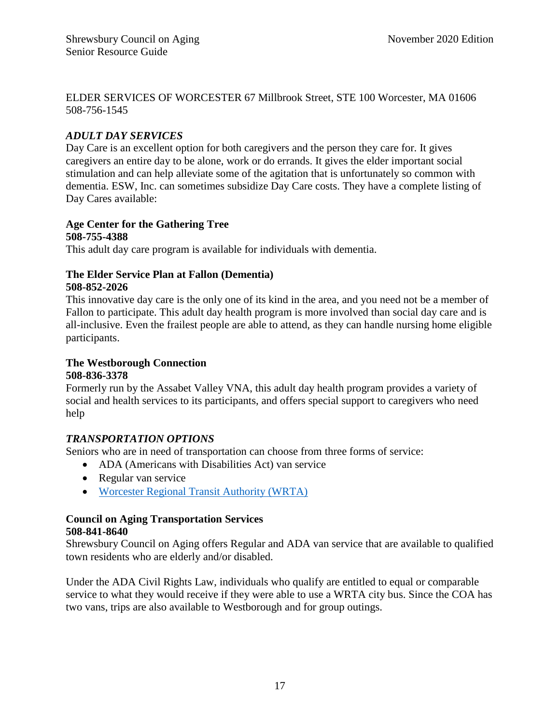ELDER SERVICES OF WORCESTER 67 Millbrook Street, STE 100 Worcester, MA 01606 508-756-1545

#### <span id="page-16-0"></span>*ADULT DAY SERVICES*

Day Care is an excellent option for both caregivers and the person they care for. It gives caregivers an entire day to be alone, work or do errands. It gives the elder important social stimulation and can help alleviate some of the agitation that is unfortunately so common with dementia. ESW, Inc. can sometimes subsidize Day Care costs. They have a complete listing of Day Cares available:

#### **Age Center for the Gathering Tree 508-755-4388**

This adult day care program is available for individuals with dementia.

#### **The Elder Service Plan at Fallon (Dementia) 508-852-2026**

This innovative day care is the only one of its kind in the area, and you need not be a member of Fallon to participate. This adult day health program is more involved than social day care and is all-inclusive. Even the frailest people are able to attend, as they can handle nursing home eligible participants.

## **The Westborough Connection**

#### **508-836-3378**

Formerly run by the Assabet Valley VNA, this adult day health program provides a variety of social and health services to its participants, and offers special support to caregivers who need help

#### <span id="page-16-1"></span>*TRANSPORTATION OPTIONS*

Seniors who are in need of transportation can choose from three forms of service:

- ADA (Americans with Disabilities Act) van service
- Regular van service
- [Worcester Regional Transit Authority \(WRTA\)](http://www.therta.com/)

#### <span id="page-16-2"></span>**Council on Aging Transportation Services 508-841-8640**

Shrewsbury Council on Aging offers Regular and ADA van service that are available to qualified town residents who are elderly and/or disabled.

Under the ADA Civil Rights Law, individuals who qualify are entitled to equal or comparable service to what they would receive if they were able to use a WRTA city bus. Since the COA has two vans, trips are also available to Westborough and for group outings.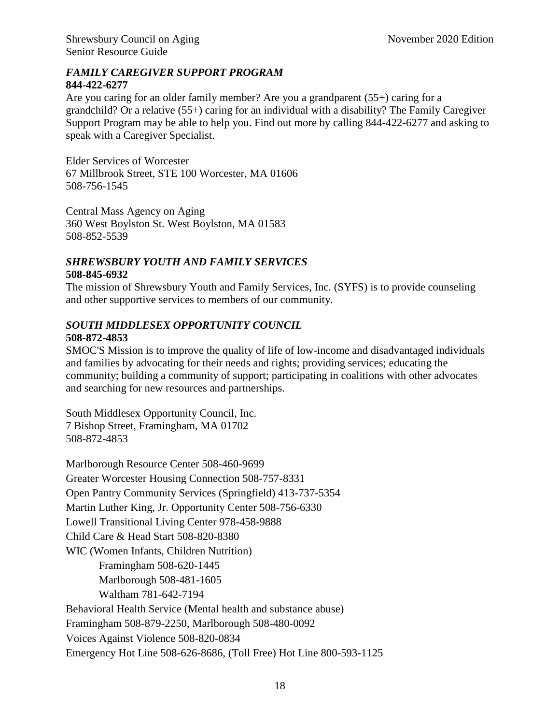#### <span id="page-17-0"></span>*FAMILY CAREGIVER SUPPORT PROGRAM* **844-422-6277**

Are you caring for an older family member? Are you a grandparent (55+) caring for a grandchild? Or a relative (55+) caring for an individual with a disability? The Family Caregiver Support Program may be able to help you. Find out more by calling 844-422-6277 and asking to speak with a Caregiver Specialist.

Elder Services of Worcester 67 Millbrook Street, STE 100 Worcester, MA 01606 508-756-1545

Central Mass Agency on Aging 360 West Boylston St. West Boylston, MA 01583 508-852-5539

#### <span id="page-17-1"></span>*SHREWSBURY YOUTH AND FAMILY SERVICES* **508-845-6932**

The mission of Shrewsbury Youth and Family Services, Inc. (SYFS) is to provide counseling and other supportive services to members of our community.

#### <span id="page-17-2"></span>*SOUTH MIDDLESEX OPPORTUNITY COUNCIL* **508-872-4853**

SMOC'S Mission is to improve the quality of life of low-income and disadvantaged individuals and families by advocating for their needs and rights; providing services; educating the community; building a community of support; participating in coalitions with other advocates and searching for new resources and partnerships.

South Middlesex Opportunity Council, Inc. 7 Bishop Street, Framingham, MA 01702 508-872-4853

Marlborough Resource Center 508-460-9699 Greater Worcester Housing Connection 508-757-8331 Open Pantry Community Services (Springfield) 413-737-5354 Martin Luther King, Jr. Opportunity Center 508-756-6330 Lowell Transitional Living Center 978-458-9888 Child Care & Head Start 508-820-8380 WIC (Women Infants, Children Nutrition) Framingham 508-620-1445 Marlborough 508-481-1605 Waltham 781-642-7194 Behavioral Health Service (Mental health and substance abuse) Framingham 508-879-2250, Marlborough 508-480-0092 Voices Against Violence 508-820-0834 Emergency Hot Line 508-626-8686, (Toll Free) Hot Line 800-593-1125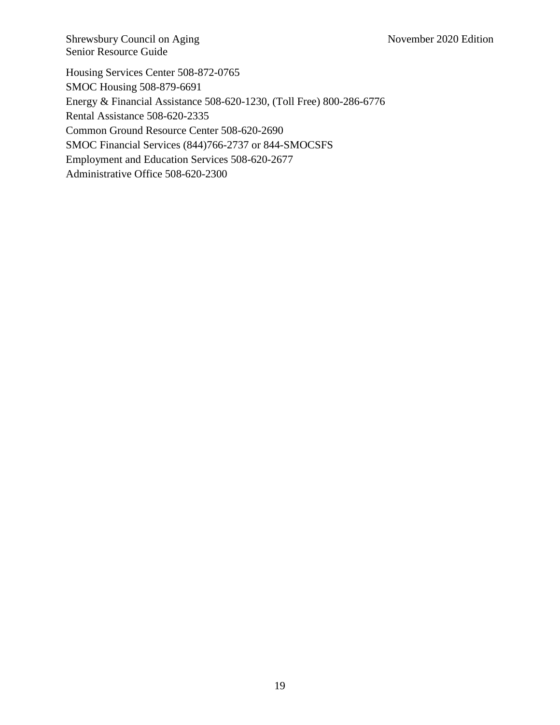Housing Services Center 508-872-0765 SMOC Housing 508-879-6691 Energy & Financial Assistance 508-620-1230, (Toll Free) 800-286-6776 Rental Assistance 508-620-2335 Common Ground Resource Center 508-620-2690 SMOC Financial Services (844)766-2737 or 844-SMOCSFS Employment and Education Services 508-620-2677 Administrative Office 508-620-2300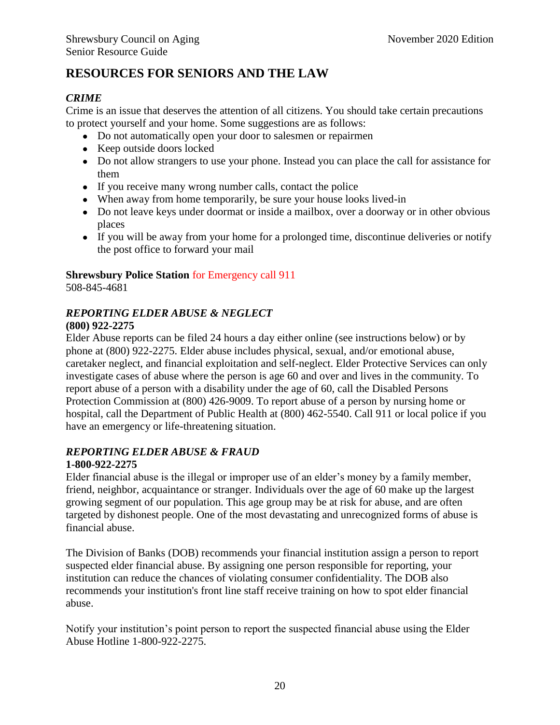## <span id="page-19-0"></span>**RESOURCES FOR SENIORS AND THE LAW**

### <span id="page-19-1"></span>*CRIME*

Crime is an issue that deserves the attention of all citizens. You should take certain precautions to protect yourself and your home. Some suggestions are as follows:

- Do not automatically open your door to salesmen or repairmen
- Keep outside doors locked
- Do not allow strangers to use your phone. Instead you can place the call for assistance for them
- If you receive many wrong number calls, contact the police
- When away from home temporarily, be sure your house looks lived-in
- Do not leave keys under doormat or inside a mailbox, over a doorway or in other obvious places
- If you will be away from your home for a prolonged time, discontinue deliveries or notify the post office to forward your mail

**Shrewsbury Police Station** for Emergency call 911 508-845-4681

## <span id="page-19-2"></span>*REPORTING ELDER ABUSE & NEGLECT*

#### **(800) 922-2275**

Elder Abuse reports can be filed 24 hours a day either online (see instructions below) or by phone at (800) 922-2275. Elder abuse includes physical, sexual, and/or emotional abuse, caretaker neglect, and financial exploitation and self-neglect. Elder Protective Services can only investigate cases of abuse where the person is age 60 and over and lives in the community. To report abuse of a person with a disability under the age of 60, call the Disabled Persons Protection Commission at (800) 426-9009. To report abuse of a person by nursing home or hospital, call the Department of Public Health at (800) 462-5540. Call 911 or local police if you have an emergency or life-threatening situation.

#### <span id="page-19-3"></span>*REPORTING ELDER ABUSE & FRAUD* **1-800-922-2275**

Elder financial abuse is the illegal or improper use of an elder's money by a family member, friend, neighbor, acquaintance or stranger. Individuals over the age of 60 make up the largest growing segment of our population. This age group may be at risk for abuse, and are often targeted by dishonest people. One of the most devastating and unrecognized forms of abuse is financial abuse.

The Division of Banks (DOB) recommends your financial institution assign a person to report suspected elder financial abuse. By assigning one person responsible for reporting, your institution can reduce the chances of violating consumer confidentiality. The DOB also recommends your institution's front line staff receive training on how to spot elder financial abuse.

Notify your institution's point person to report the suspected financial abuse using the Elder Abuse Hotline 1-800-922-2275.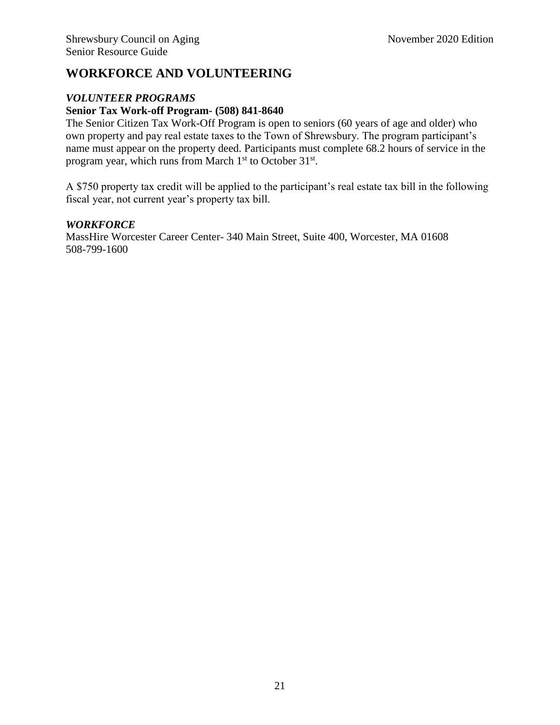## <span id="page-20-0"></span>**WORKFORCE AND VOLUNTEERING**

#### <span id="page-20-1"></span>*VOLUNTEER PROGRAMS*

#### **Senior Tax Work-off Program- (508) 841-8640**

The Senior Citizen Tax Work-Off Program is open to seniors (60 years of age and older) who own property and pay real estate taxes to the Town of Shrewsbury. The program participant's name must appear on the property deed. Participants must complete 68.2 hours of service in the program year, which runs from March 1<sup>st</sup> to October 31<sup>st</sup>.

A \$750 property tax credit will be applied to the participant's real estate tax bill in the following fiscal year, not current year's property tax bill.

#### <span id="page-20-2"></span>*WORKFORCE*

MassHire Worcester Career Center- 340 Main Street, Suite 400, Worcester, MA 01608 508-799-1600